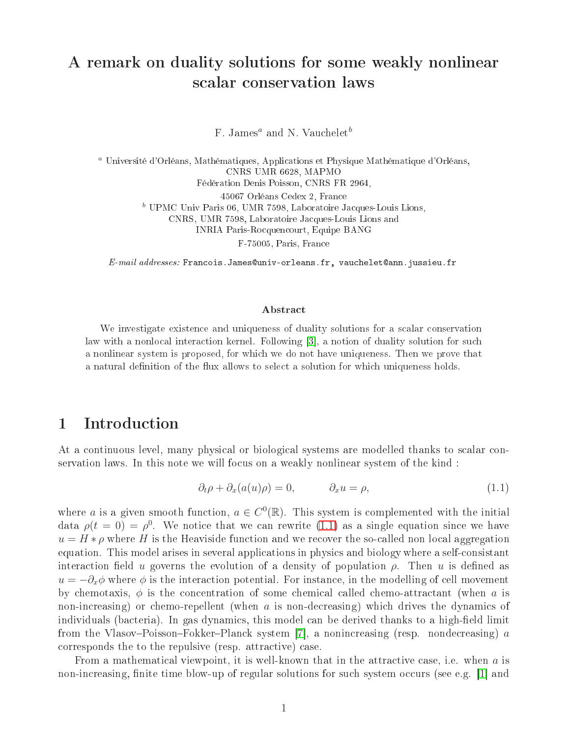# A remark on duality solutions for some weakly nonlinear s
alar onservation laws

 $F. James<sup>a</sup>$  and N. Vauchelet<sup>b</sup>

<sup>a</sup> Université d'Orléans, Mathématiques, Appli
ations et Physique Mathématique d'Orléans, CNRS UMR 6628, MAPMO Fédération Denis Poisson, CNRS FR 2964, 45067 Orléans Cedex 2, Fran
e  $<sup>b</sup>$  UPMC Univ Paris 06, UMR 7598, Laboratoire Jacques-Louis Lions,</sup> CNRS, UMR 7598, Laboratoire Ja
ques-Louis Lions and INRIA Paris-Ro
quen
ourt, Equipe BANG F-75005, Paris, Fran
e

E-mail addresses: Francois. James@univ-orleans.fr, vauchelet@ann.jussieu.fr

#### Abstra
t

We investigate existen
e and uniqueness of duality solutions for <sup>a</sup> s
alar onservation law with a non-local communication continues and developed in the substance of duality solution for substance a non-mension system is proposed, for which we have the most when we wender that we prove that we a natural denition of the user solution of the user to selection for which  $\alpha$  is which the solution for  $\alpha$ 

## 1 Introdu
tion

At a continuous level, many physical or biological systems are modelled thanks to scalar conservation laws. In this note we will focus on a weakly nonlinear system of the kind:

<span id="page-0-0"></span>
$$
\partial_t \rho + \partial_x (a(u)\rho) = 0, \qquad \partial_x u = \rho, \qquad (1.1)
$$

where a is a given smooth function,  $a \in C^0(\mathbb{R})$ . This system is complemented with the initial data  $\rho(t=0) = \rho^0$ . We notice that we can rewrite [\(1.1\)](#page-0-0) as a single equation since we have  $u = H * \rho$  where H is the Heaviside function and we recover the so-called non local aggregation equation. This model arises in several applications in physics and biology where a self-consistant interaction field u governs the evolution of a density of population  $\rho$ . Then u is defined as  $u = -\partial_x \phi$  where  $\phi$  is the interaction potential. For instance, in the modelling of cell movement by chemotaxis,  $\phi$  is the concentration of some chemical called chemo-attractant (when a is non-increasing) or chemo-repellent (when a is non-decreasing) which drives the dynamics of individuals (bacteria). In gas dynamics, this model can be derived thanks to a high-field limit from the Vlasov–Poisson–Fokker–Planck system [7], a nonincreasing (resp. nondecreasing)  $\alpha$ corresponds the to the repulsive (resp. attractive) case.

From a mathematical viewpoint, it is well-known that in the attractive case, i.e. when  $a$  is non-increasing, finite time blow-up of regular solutions for such system occurs (see e.g. [1] and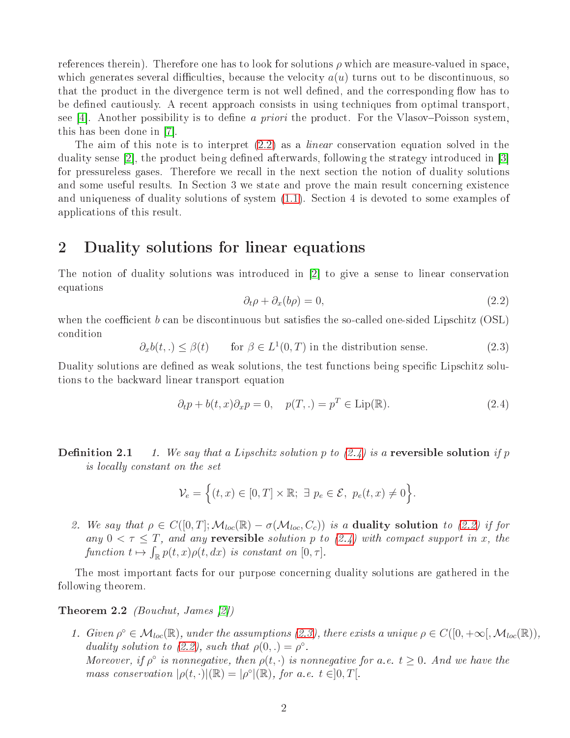references therein). Therefore one has to look for solutions  $\rho$  which are measure-valued in space. which generates several difficulties, because the velocity  $a(u)$  turns out to be discontinuous, so that the product in the divergence term is not well defined, and the corresponding flow has to be defined cautiously. A recent approach consists in using techniques from optimal transport. see [4]. Another possibility is to define a priori the product. For the Vlasov–Poisson system, this has been done in  $|7|$ .

The aim of this note is to interpret  $(2.2)$  as a *linear* conservation equation solved in the duality sense [2], the product being defined afterwards, following the strategy introduced in [3] for pressureless gases. Therefore we re
all in the next se
tion the notion of duality solutions and some useful results. In Section 3 we state and prove the main result concerning existence and uniqueness of duality solutions of system  $(1.1)$ . Section 4 is devoted to some examples of appli
ations of this result.

## 2 Duality solutions for linear equations

The notion of duality solutions was introduced in  $[2]$  to give a sense to linear conservation equations

<span id="page-1-0"></span>
$$
\partial_t \rho + \partial_x (b\rho) = 0,\tag{2.2}
$$

when the coefficient  $b$  can be discontinuous but satisfies the so-called one-sided Lipschitz (OSL) ondition

<span id="page-1-2"></span>
$$
\partial_x b(t,.) \le \beta(t) \qquad \text{for } \beta \in L^1(0,T) \text{ in the distribution sense.} \tag{2.3}
$$

Duality solutions are defined as weak solutions, the test functions being specific Lipschitz solutions to the ba
kward linear transport equation

<span id="page-1-1"></span>
$$
\partial_t p + b(t, x)\partial_x p = 0, \quad p(T,.) = p^T \in \text{Lip}(\mathbb{R}).\tag{2.4}
$$

**Definition 2.1** 1. We say that a Lipschitz solution p to  $(2.4)$  is a reversible solution if p is locally constant on the set

$$
\mathcal{V}_e = \Big\{ (t,x) \in [0,T] \times \mathbb{R}; \ \exists \ p_e \in \mathcal{E}, \ p_e(t,x) \neq 0 \Big\}.
$$

2. We say that  $\rho \in C([0,T]; \mathcal{M}_{loc}(\mathbb{R}) - \sigma(\mathcal{M}_{loc}, C_c))$  is a duality solution to [\(2.2\)](#page-1-0) if for any  $0 < \tau \leq T$ , and any **reversible** solution p to [\(2.4\)](#page-1-1) with compact support in x, the function  $t \mapsto \int_{\mathbb{R}} p(t,x)\rho(t,dx)$  is constant on  $[0,\tau]$ .

The most important facts for our purpose concerning duality solutions are gathered in the following theorem.

#### **Theorem 2.2** *(Bouchut, James [2])*

<span id="page-1-3"></span>1. Given  $\rho^{\circ} \in \mathcal{M}_{loc}(\mathbb{R})$ , under the assumptions [\(2.3\)](#page-1-2), there exists a unique  $\rho \in C([0, +\infty[, \mathcal{M}_{loc}(\mathbb{R})),$ duality solution to [\(2.2\)](#page-1-0), such that  $\rho(0,.) = \rho^{\circ}$ . Moreover, if  $\rho^{\circ}$  is nonnegative, then  $\rho(t, \cdot)$  is nonnegative for a.e.  $t \geq 0$ . And we have the mass conservation  $|\rho(t, \cdot)|(\mathbb{R}) = |\rho^{\circ}|(\mathbb{R})$ , for a.e.  $t \in ]0, T[$ .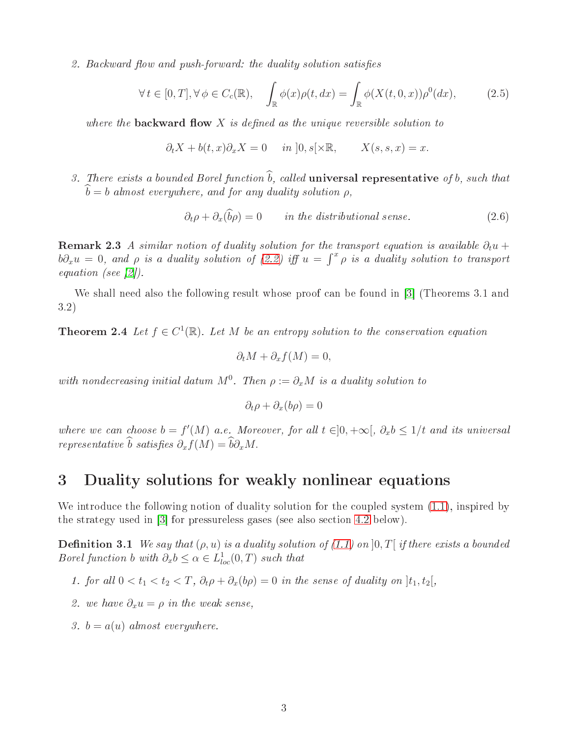2. Backward flow and push-forward: the duality solution satisfies

<span id="page-2-3"></span>
$$
\forall t \in [0, T], \forall \phi \in C_c(\mathbb{R}), \quad \int_{\mathbb{R}} \phi(x)\rho(t, dx) = \int_{\mathbb{R}} \phi(X(t, 0, x))\rho^0(dx), \tag{2.5}
$$

where the **backward flow**  $X$  is defined as the unique reversible solution to

$$
\partial_t X + b(t, x)\partial_x X = 0 \quad in \ ]0, s[\times \mathbb{R}, \quad X(s, s, x) = x.
$$

3. There exists a bounded Borel function  $\widehat{b}$ , called **universal representative** of b, such that  $\ddot{b} = b$  almost everywhere, and for any duality solution  $\rho$ ,

<span id="page-2-4"></span>
$$
\partial_t \rho + \partial_x(\widehat{b}\rho) = 0 \qquad \text{in the distributional sense.} \tag{2.6}
$$

<span id="page-2-0"></span>**Remark 2.3** A similar notion of duality solution for the transport equation is available  $\partial_t u$  +  $b\partial_x u = 0$ , and  $\rho$  is a duality solution of [\(2.2\)](#page-1-0) iff  $u = \int^x \rho$  is a duality solution to transport equation (see  $[2]$ ).

<span id="page-2-2"></span>We shall need also the following result whose proof can be found in  $[3]$  (Theorems 3.1 and 3.2)

**Theorem 2.4** Let  $f \in C^1(\mathbb{R})$ . Let M be an entropy solution to the conservation equation

$$
\partial_t M + \partial_x f(M) = 0,
$$

with nondecreasing initial datum  $M^0$ . Then  $\rho := \partial_x M$  is a duality solution to

<span id="page-2-1"></span>
$$
\partial_t \rho + \partial_x (b\rho) = 0
$$

where we can choose  $b = f'(M)$  a.e. Moreover, for all  $t \in ]0, +\infty[, \partial_x b \leq 1/t$  and its universal representative  $\widehat{b}$  satisfies  $\partial_x f(M) = \widehat{b}\partial_x M$ .

### 3 Duality solutions for weakly nonlinear equations

We introduce the following notion of duality solution for the coupled system  $(1.1)$ , inspired by the strategy used in  $[3]$  for pressureless gases (see also section [4.2](#page-4-0) below).

**Definition 3.1** We say that  $(\rho, u)$  is a duality solution of [\(1.1\)](#page-0-0) on  $[0, T]$  if there exists a bounded Borel function b with  $\partial_x b \leq \alpha \in L^1_{loc}(0,T)$  such that

- 1. for all  $0 < t_1 < t_2 < T$ ,  $\partial_t \rho + \partial_x (b \rho) = 0$  in the sense of duality on  $|t_1, t_2|$ ,
- 2. we have  $\partial_x u = \rho$  in the weak sense,
- 3.  $b = a(u)$  almost everywhere.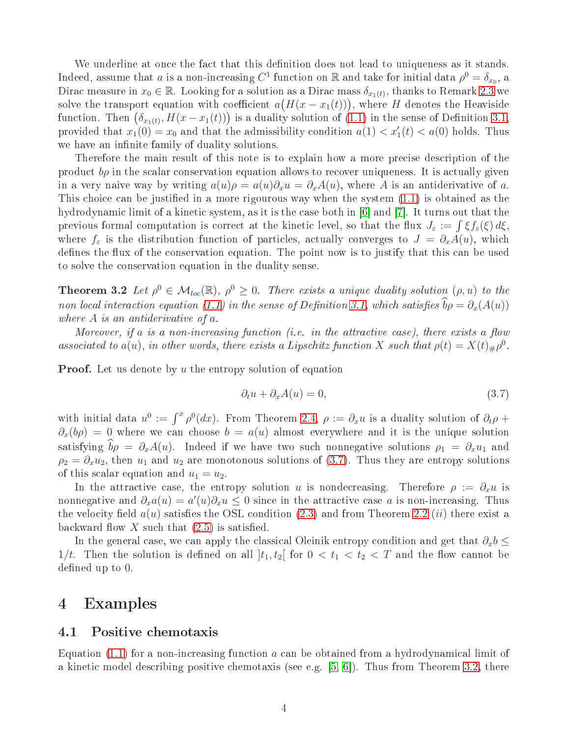We underline at once the fact that this definition does not lead to uniqueness as it stands. Indeed, assume that a is a non-increasing  $C^1$  function on  $\mathbb R$  and take for initial data  $\rho^0 = \delta_{x_0}$ , a Dirac measure in  $x_0 \in \mathbb{R}$ . Looking for a solution as a Dirac mass  $\delta_{x_1(t)}$ , thanks to Remark [2.3](#page-2-0) we solve the transport equation with coefficient  $a(H(x - x_1(t)))$ , where H denotes the Heaviside function. Then  $(\delta_{x_1(t)}, H(x-x_1(t)))$  is a duality solution of [\(1.1\)](#page-0-0) in the sense of Definition [3.1,](#page-2-1) provided that  $x_1(0) = x_0$  and that the admissibility condition  $a(1) < x'_1(t) < a(0)$  holds. Thus we have an infinite family of duality solutions.

Therefore the main result of this note is to explain how a more precise description of the product  $b\rho$  in the scalar conservation equation allows to recover uniqueness. It is actually given in a very naive way by writing  $a(u)\rho = a(u)\partial_x u = \partial_x A(u)$ , where A is an antiderivative of a. This choice can be justified in a more rigourous way when the system  $(1.1)$  is obtained as the hydrodynamic limit of a kinetic system, as it is the case both in  $|6|$  and  $|7|$ . It turns out that the previous formal computation is correct at the kinetic level, so that the flux  $J_{\varepsilon} := \int \xi f_{\varepsilon}(\xi) d\xi$ , where  $f_{\varepsilon}$  is the distribution function of particles, actually converges to  $J = \partial_x A(u)$ , which defines the flux of the conservation equation. The point now is to justify that this can be used to solve the onservation equation in the duality sense.

<span id="page-3-1"></span>**Theorem 3.2** Let  $\rho^0 \in M_{loc}(\mathbb{R})$ ,  $\rho^0 \geq 0$ . There exists a unique duality solution  $(\rho, u)$  to the non local interaction equation [\(1.1\)](#page-0-0) in the sense of Definition [3.1,](#page-2-1) which satisfies  $\widehat{b}\rho = \partial_x(A(u))$ where A is an antiderivative of a.

Moreover, if a is a non-increasing function (i.e. in the attractive case), there exists a flow associated to  $a(u)$ , in other words, there exists a Lipschitz function X such that  $\rho(t) = X(t)_{\#}\rho^0$ .

**Proof.** Let us denote by  $u$  the entropy solution of equation

<span id="page-3-0"></span>
$$
\partial_t u + \partial_x A(u) = 0,\t\t(3.7)
$$

with initial data  $u^0 := \int^x \rho^0(dx)$ . From Theorem [2.4,](#page-2-2)  $\rho := \partial_x u$  is a duality solution of  $\partial_t \rho$  +  $\partial_x(b\rho) = 0$  where we can choose  $b = a(u)$  almost everywhere and it is the unique solution satisfying  $\hat{b}\rho = \partial_x A(u)$ . Indeed if we have two such nonnegative solutions  $\rho_1 = \partial_x u_1$  and  $\rho_2 = \partial_x u_2$ , then  $u_1$  and  $u_2$  are monotonous solutions of [\(3.7\)](#page-3-0). Thus they are entropy solutions of this scalar equation and  $u_1 = u_2$ .

In the attractive case, the entropy solution u is nondecreasing. Therefore  $\rho := \partial_x u$  is nonnegative and  $\partial_x a(u) = a'(u)\partial_x u \leq 0$  since in the attractive case a is non-increasing. Thus the velocity field  $a(u)$  satisfies the OSL condition [\(2.3\)](#page-1-2) and from Theorem [2.2](#page-1-3) *(ii)* there exist a backward flow X such that  $(2.5)$  is satisfied.

In the general case, we can apply the classical Oleinik entropy condition and get that  $\partial_x b \leq$ 1/t. Then the solution is defined on all  $]t_1, t_2[$  for  $0 < t_1 < t_2 < T$  and the flow cannot be defined up to 0.

#### 4 Examples

#### 4.1Positive hemotaxis

Equation  $(1.1)$  for a non-increasing function  $a$  can be obtained from a hydrodynamical limit of a kinetic model describing positive chemotaxis (see e.g.  $[5, 6]$  $[5, 6]$ ). Thus from Theorem [3.2,](#page-3-1) there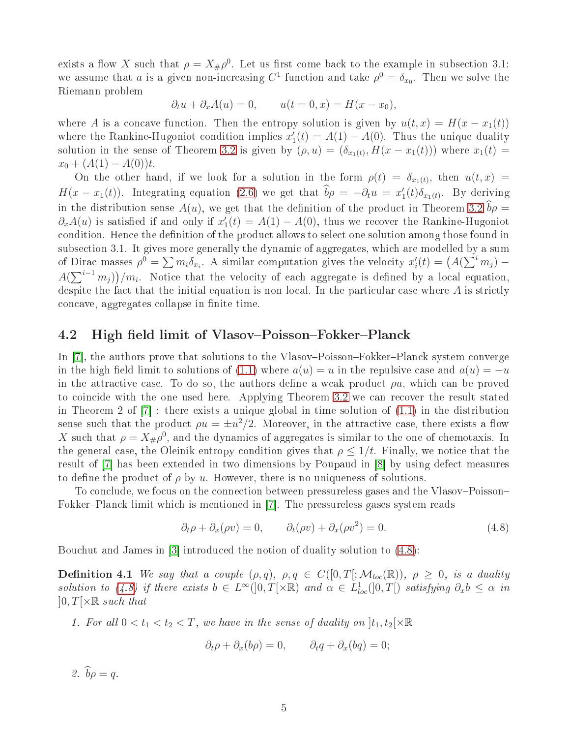exists a flow X such that  $\rho = X_{\#}\rho^0$ . Let us first come back to the example in subsection 3.1: we assume that a is a given non-increasing  $C^1$  function and take  $\rho^0 = \delta_{x_0}$ . Then we solve the Riemann problem

$$
\partial_t u + \partial_x A(u) = 0, \qquad u(t = 0, x) = H(x - x_0),
$$

where A is a concave function. Then the entropy solution is given by  $u(t, x) = H(x - x_1(t))$ where the Rankine-Hugoniot condition implies  $x'_1$  $I_1'(t) = A(1) - A(0)$ . Thus the unique duality solution in the sense of Theorem [3.2](#page-3-1) is given by  $(\rho, u) = (\delta_{x_1(t)}, H(x - x_1(t)))$  where  $x_1(t) =$  $x_0 + (A(1) - A(0))t$ .

On the other hand, if we look for a solution in the form  $\rho(t) = \delta_{x_1(t)}$ , then  $u(t,x)$  $H(x - x_1(t))$ . Integrating equation [\(2.6\)](#page-2-4) we get that  $\widehat{b}\rho = -\partial_t u = x_1'$  $T_1(t)\delta_{x_1(t)}$ . By deriving in the distribution sense  $A(u)$ , we get that the definition of the product in Theorem [3.2](#page-3-1)  $\hat{b}\rho =$  $\partial_x A(u)$  is satisfied if and only if  $x_1'$  $I_1(t) = A(1) - A(0)$ , thus we recover the Rankine-Hugoniot condition. Hence the definition of the product allows to select one solution among those found in subsection 3.1. It gives more generally the dynamic of aggregates, which are modelled by a sum of Dirac masses  $\rho^0 = \sum m_i \delta_{x_i}$ . A similar computation gives the velocity  $x_i'$  $\zeta_i(t) = (A(\sum^i m_j) A(\sum_{i=1}^{i-1} m_i) / m_i$ . Notice that the velocity of each aggregate is defined by a local equation, despite the fact that the initial equation is non local. In the particular case where  $A$  is strictly concave, aggregates collapse in finite time.

#### <span id="page-4-0"></span>4.2High field limit of Vlasov–Poisson–Fokker–Planck

In [7], the authors prove that solutions to the Vlasov–Poisson–Fokker–Planck system converge in the high field limit to solutions of [\(1.1\)](#page-0-0) where  $a(u) = u$  in the repulsive case and  $a(u) = -u$ in the attractive case. To do so, the authors define a weak product  $\rho u$ , which can be proved to coincide with the one used here. Applying Theorem [3.2](#page-3-1) we can recover the result stated in Theorem 2 of  $[7]$ : there exists a unique global in time solution of  $(1.1)$  in the distribution sense such that the product  $\rho u = \pm u^2/2$ . Moreover, in the attractive case, there exists a flow X such that  $\rho = X_{\#}\rho^0$ , and the dynamics of aggregates is similar to the one of chemotaxis. In the general case, the Oleinik entropy condition gives that  $\rho \leq 1/t$ . Finally, we notice that the result of [7] has been extended in two dimensions by Poupaud in [8] by using defect measures to define the product of  $\rho$  by u. However, there is no uniqueness of solutions.

To conclude, we focus on the connection between pressureless gases and the Vlasov–Poisson– Fokker–Planck limit which is mentioned in [7]. The pressureless gases system reads

<span id="page-4-1"></span>
$$
\partial_t \rho + \partial_x(\rho v) = 0, \qquad \partial_t(\rho v) + \partial_x(\rho v^2) = 0.
$$
\n(4.8)

Bouchut and James in [3] introduced the notion of duality solution to [\(4.8\)](#page-4-1):

**Definition 4.1** We say that a couple  $(\rho, q)$ ,  $\rho, q \in C([0, T]; \mathcal{M}_{loc}(\mathbb{R}))$ ,  $\rho \geq 0$ , is a duality solution to [\(4.8\)](#page-4-1) if there exists  $b \in L^{\infty}(]0,T[\times \mathbb{R})$  and  $\alpha \in L^{1}_{loc}(]0,T[)$  satisfying  $\partial_{x}b \leq \alpha$  in  $]0,T[ \times \mathbb{R}$  such that

1. For all  $0 < t_1 < t_2 < T$ , we have in the sense of duality on  $]t_1, t_2[ \times \mathbb{R}$ 

<span id="page-4-2"></span>
$$
\partial_t \rho + \partial_x (b\rho) = 0, \qquad \partial_t q + \partial_x (bq) = 0;
$$

2.  $\widehat{b}\rho = q$ .